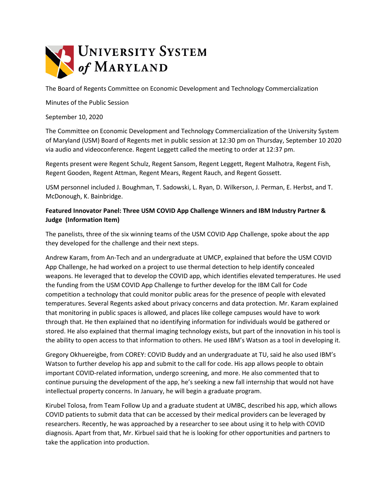

The Board of Regents Committee on Economic Development and Technology Commercialization

Minutes of the Public Session

September 10, 2020

The Committee on Economic Development and Technology Commercialization of the University System of Maryland (USM) Board of Regents met in public session at 12:30 pm on Thursday, September 10 2020 via audio and videoconference. Regent Leggett called the meeting to order at 12:37 pm.

Regents present were Regent Schulz, Regent Sansom, Regent Leggett, Regent Malhotra, Regent Fish, Regent Gooden, Regent Attman, Regent Mears, Regent Rauch, and Regent Gossett.

USM personnel included J. Boughman, T. Sadowski, L. Ryan, D. Wilkerson, J. Perman, E. Herbst, and T. McDonough, K. Bainbridge.

## **Featured Innovator Panel: Three USM COVID App Challenge Winners and IBM Industry Partner & Judge (Information Item)**

The panelists, three of the six winning teams of the USM COVID App Challenge, spoke about the app they developed for the challenge and their next steps.

Andrew Karam, from An-Tech and an undergraduate at UMCP, explained that before the USM COVID App Challenge, he had worked on a project to use thermal detection to help identify concealed weapons. He leveraged that to develop the COVID app, which identifies elevated temperatures. He used the funding from the USM COVID App Challenge to further develop for the IBM Call for Code competition a technology that could monitor public areas for the presence of people with elevated temperatures. Several Regents asked about privacy concerns and data protection. Mr. Karam explained that monitoring in public spaces is allowed, and places like college campuses would have to work through that. He then explained that no identifying information for individuals would be gathered or stored. He also explained that thermal imaging technology exists, but part of the innovation in his tool is the ability to open access to that information to others. He used IBM's Watson as a tool in developing it.

Gregory Okhuereigbe, from COREY: COVID Buddy and an undergraduate at TU, said he also used IBM's Watson to further develop his app and submit to the call for code. His app allows people to obtain important COVID-related information, undergo screening, and more. He also commented that to continue pursuing the development of the app, he's seeking a new fall internship that would not have intellectual property concerns. In January, he will begin a graduate program.

Kirubel Tolosa, from Team Follow Up and a graduate student at UMBC, described his app, which allows COVID patients to submit data that can be accessed by their medical providers can be leveraged by researchers. Recently, he was approached by a researcher to see about using it to help with COVID diagnosis. Apart from that, Mr. Kirbuel said that he is looking for other opportunities and partners to take the application into production.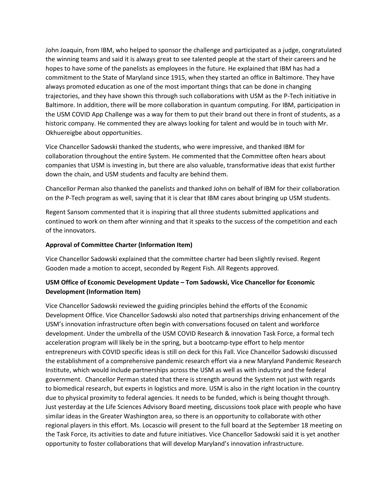John Joaquin, from IBM, who helped to sponsor the challenge and participated as a judge, congratulated the winning teams and said it is always great to see talented people at the start of their careers and he hopes to have some of the panelists as employees in the future. He explained that IBM has had a commitment to the State of Maryland since 1915, when they started an office in Baltimore. They have always promoted education as one of the most important things that can be done in changing trajectories, and they have shown this through such collaborations with USM as the P-Tech initiative in Baltimore. In addition, there will be more collaboration in quantum computing. For IBM, participation in the USM COVID App Challenge was a way for them to put their brand out there in front of students, as a historic company. He commented they are always looking for talent and would be in touch with Mr. Okhuereigbe about opportunities.

Vice Chancellor Sadowski thanked the students, who were impressive, and thanked IBM for collaboration throughout the entire System. He commented that the Committee often hears about companies that USM is investing in, but there are also valuable, transformative ideas that exist further down the chain, and USM students and faculty are behind them.

Chancellor Perman also thanked the panelists and thanked John on behalf of IBM for their collaboration on the P-Tech program as well, saying that it is clear that IBM cares about bringing up USM students.

Regent Sansom commented that it is inspiring that all three students submitted applications and continued to work on them after winning and that it speaks to the success of the competition and each of the innovators.

## **Approval of Committee Charter (Information Item)**

Vice Chancellor Sadowski explained that the committee charter had been slightly revised. Regent Gooden made a motion to accept, seconded by Regent Fish. All Regents approved.

## **USM Office of Economic Development Update – Tom Sadowski, Vice Chancellor for Economic Development (Information Item)**

Vice Chancellor Sadowski reviewed the guiding principles behind the efforts of the Economic Development Office. Vice Chancellor Sadowski also noted that partnerships driving enhancement of the USM's innovation infrastructure often begin with conversations focused on talent and workforce development. Under the umbrella of the USM COVID Research & innovation Task Force, a formal tech acceleration program will likely be in the spring, but a bootcamp-type effort to help mentor entrepreneurs with COVID specific ideas is still on deck for this Fall. Vice Chancellor Sadowski discussed the establishment of a comprehensive pandemic research effort via a new Maryland Pandemic Research Institute, which would include partnerships across the USM as well as with industry and the federal government. Chancellor Perman stated that there is strength around the System not just with regards to biomedical research, but experts in logistics and more. USM is also in the right location in the country due to physical proximity to federal agencies. It needs to be funded, which is being thought through. Just yesterday at the Life Sciences Advisory Board meeting, discussions took place with people who have similar ideas in the Greater Washington area, so there is an opportunity to collaborate with other regional players in this effort. Ms. Locascio will present to the full board at the September 18 meeting on the Task Force, its activities to date and future initiatives. Vice Chancellor Sadowski said it is yet another opportunity to foster collaborations that will develop Maryland's innovation infrastructure.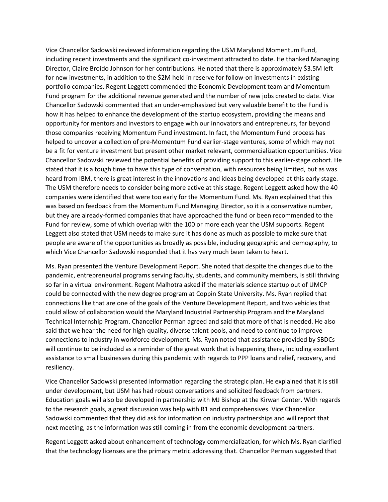Vice Chancellor Sadowski reviewed information regarding the USM Maryland Momentum Fund, including recent investments and the significant co-investment attracted to date. He thanked Managing Director, Claire Broido Johnson for her contributions. He noted that there is approximately \$3.5M left for new investments, in addition to the \$2M held in reserve for follow-on investments in existing portfolio companies. Regent Leggett commended the Economic Development team and Momentum Fund program for the additional revenue generated and the number of new jobs created to date. Vice Chancellor Sadowski commented that an under-emphasized but very valuable benefit to the Fund is how it has helped to enhance the development of the startup ecosystem, providing the means and opportunity for mentors and investors to engage with our innovators and entrepreneurs, far beyond those companies receiving Momentum Fund investment. In fact, the Momentum Fund process has helped to uncover a collection of pre-Momentum Fund earlier-stage ventures, some of which may not be a fit for venture investment but present other market relevant, commercialization opportunities. Vice Chancellor Sadowski reviewed the potential benefits of providing support to this earlier-stage cohort. He stated that it is a tough time to have this type of conversation, with resources being limited, but as was heard from IBM, there is great interest in the innovations and ideas being developed at this early stage. The USM therefore needs to consider being more active at this stage. Regent Leggett asked how the 40 companies were identified that were too early for the Momentum Fund. Ms. Ryan explained that this was based on feedback from the Momentum Fund Managing Director, so it is a conservative number, but they are already-formed companies that have approached the fund or been recommended to the Fund for review, some of which overlap with the 100 or more each year the USM supports. Regent Leggett also stated that USM needs to make sure it has done as much as possible to make sure that people are aware of the opportunities as broadly as possible, including geographic and demography, to which Vice Chancellor Sadowski responded that it has very much been taken to heart.

Ms. Ryan presented the Venture Development Report. She noted that despite the changes due to the pandemic, entrepreneurial programs serving faculty, students, and community members, is still thriving so far in a virtual environment. Regent Malhotra asked if the materials science startup out of UMCP could be connected with the new degree program at Coppin State University. Ms. Ryan replied that connections like that are one of the goals of the Venture Development Report, and two vehicles that could allow of collaboration would the Maryland Industrial Partnership Program and the Maryland Technical Internship Program. Chancellor Perman agreed and said that more of that is needed. He also said that we hear the need for high-quality, diverse talent pools, and need to continue to improve connections to industry in workforce development. Ms. Ryan noted that assistance provided by SBDCs will continue to be included as a reminder of the great work that is happening there, including excellent assistance to small businesses during this pandemic with regards to PPP loans and relief, recovery, and resiliency.

Vice Chancellor Sadowski presented information regarding the strategic plan. He explained that it is still under development, but USM has had robust conversations and solicited feedback from partners. Education goals will also be developed in partnership with MJ Bishop at the Kirwan Center. With regards to the research goals, a great discussion was help with R1 and comprehensives. Vice Chancellor Sadowski commented that they did ask for information on industry partnerships and will report that next meeting, as the information was still coming in from the economic development partners.

Regent Leggett asked about enhancement of technology commercialization, for which Ms. Ryan clarified that the technology licenses are the primary metric addressing that. Chancellor Perman suggested that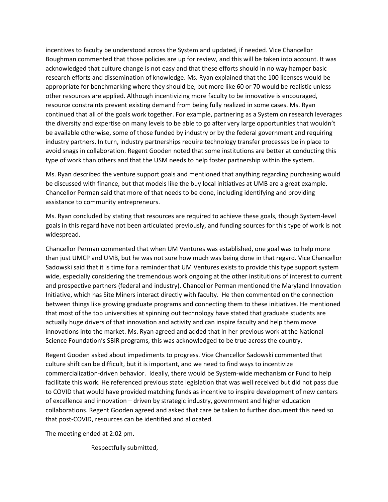incentives to faculty be understood across the System and updated, if needed. Vice Chancellor Boughman commented that those policies are up for review, and this will be taken into account. It was acknowledged that culture change is not easy and that these efforts should in no way hamper basic research efforts and dissemination of knowledge. Ms. Ryan explained that the 100 licenses would be appropriate for benchmarking where they should be, but more like 60 or 70 would be realistic unless other resources are applied. Although incentivizing more faculty to be innovative is encouraged, resource constraints prevent existing demand from being fully realized in some cases. Ms. Ryan continued that all of the goals work together. For example, partnering as a System on research leverages the diversity and expertise on many levels to be able to go after very large opportunities that wouldn't be available otherwise, some of those funded by industry or by the federal government and requiring industry partners. In turn, industry partnerships require technology transfer processes be in place to avoid snags in collaboration. Regent Gooden noted that some institutions are better at conducting this type of work than others and that the USM needs to help foster partnership within the system.

Ms. Ryan described the venture support goals and mentioned that anything regarding purchasing would be discussed with finance, but that models like the buy local initiatives at UMB are a great example. Chancellor Perman said that more of that needs to be done, including identifying and providing assistance to community entrepreneurs.

Ms. Ryan concluded by stating that resources are required to achieve these goals, though System-level goals in this regard have not been articulated previously, and funding sources for this type of work is not widespread.

Chancellor Perman commented that when UM Ventures was established, one goal was to help more than just UMCP and UMB, but he was not sure how much was being done in that regard. Vice Chancellor Sadowski said that it is time for a reminder that UM Ventures exists to provide this type support system wide, especially considering the tremendous work ongoing at the other institutions of interest to current and prospective partners (federal and industry). Chancellor Perman mentioned the Maryland Innovation Initiative, which has Site Miners interact directly with faculty. He then commented on the connection between things like growing graduate programs and connecting them to these initiatives. He mentioned that most of the top universities at spinning out technology have stated that graduate students are actually huge drivers of that innovation and activity and can inspire faculty and help them move innovations into the market. Ms. Ryan agreed and added that in her previous work at the National Science Foundation's SBIR programs, this was acknowledged to be true across the country.

Regent Gooden asked about impediments to progress. Vice Chancellor Sadowski commented that culture shift can be difficult, but it is important, and we need to find ways to incentivize commercialization-driven behavior. Ideally, there would be System-wide mechanism or Fund to help facilitate this work. He referenced previous state legislation that was well received but did not pass due to COVID that would have provided matching funds as incentive to inspire development of new centers of excellence and innovation – driven by strategic industry, government and higher education collaborations. Regent Gooden agreed and asked that care be taken to further document this need so that post-COVID, resources can be identified and allocated.

The meeting ended at 2:02 pm.

Respectfully submitted,